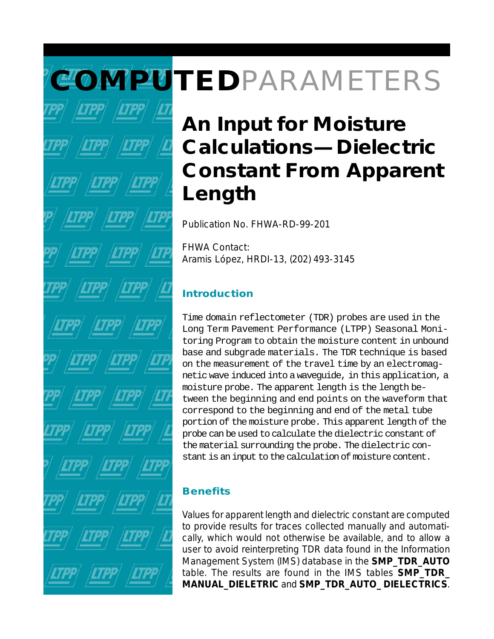# **COMPUTED**PARAMETERS

# **An Input for Moisture Calculations—Dielectric Constant From Apparent Length**

Publication No. FHWA-RD-99-201

FHWA Contact: Aramis López, HRDI-13, (202) 493-3145

### **Introduction**

Time domain reflectometer (TDR) probes are used in the Long Term Pavement Performance (LTPP) Seasonal Monitoring Program to obtain the moisture content in unbound base and subgrade materials. The TDR technique is based on the measurement of the travel time by an electromagnetic wave induced into a waveguide, in this application, a moisture probe. The apparent length is the length between the beginning and end points on the waveform that correspond to the beginning and end of the metal tube portion of the moisture probe. This apparent length of the probe can be used to calculate the dielectric constant of the material surrounding the probe. The dielectric constant is an input to the calculation of moisture content.

## **Benefits**

Values for apparent length and dielectric constant are computed to provide results for traces collected manually and automatically, which would not otherwise be available, and to allow a user to avoid reinterpreting TDR data found in the Information Management System (IMS) database in the **SMP\_TDR\_AUTO** table. The results are found in the IMS tables **SMP\_TDR\_ MANUAL\_DIELETRIC** and **SMP\_TDR\_AUTO\_ DIELECTRICS**.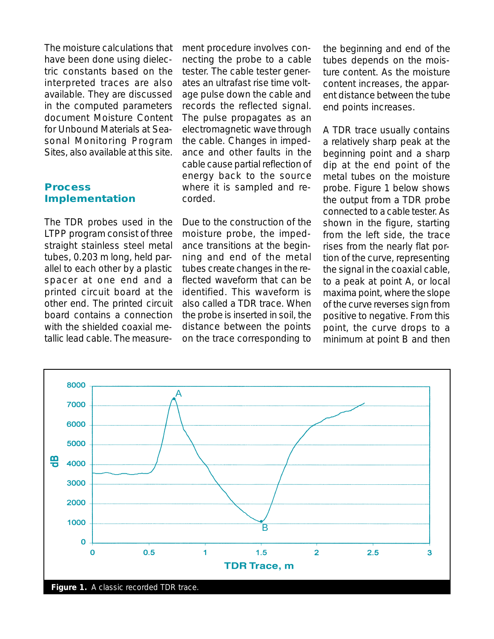The moisture calculations that have been done using dielectric constants based on the interpreted traces are also available. They are discussed in the computed parameters document *Moisture Content for Unbound Materials at Seasonal Monitoring Program Sites*, also available at this site.

#### **Process Implementation**

The TDR probes used in the LTPP program consist of three straight stainless steel metal tubes, 0.203 m long, held parallel to each other by a plastic spacer at one end and a printed circuit board at the other end. The printed circuit board contains a connection with the shielded coaxial metallic lead cable. The measurement procedure involves connecting the probe to a cable tester. The cable tester generates an ultrafast rise time voltage pulse down the cable and records the reflected signal. The pulse propagates as an electromagnetic wave through the cable. Changes in impedance and other faults in the cable cause partial reflection of energy back to the source where it is sampled and recorded.

Due to the construction of the moisture probe, the impedance transitions at the beginning and end of the metal tubes create changes in the reflected waveform that can be identified. This waveform is also called a TDR trace. When the probe is inserted in soil, the distance between the points on the trace corresponding to

the beginning and end of the tubes depends on the moisture content. As the moisture content increases, the apparent distance between the tube end points increases.

A TDR trace usually contains a relatively sharp peak at the beginning point and a sharp dip at the end point of the metal tubes on the moisture probe. Figure 1 below shows the output from a TDR probe connected to a cable tester. As shown in the figure, starting from the left side, the trace rises from the nearly flat portion of the curve, representing the signal in the coaxial cable, to a peak at point A, or local maxima point, where the slope of the curve reverses sign from positive to negative. From this point, the curve drops to a minimum at point B and then

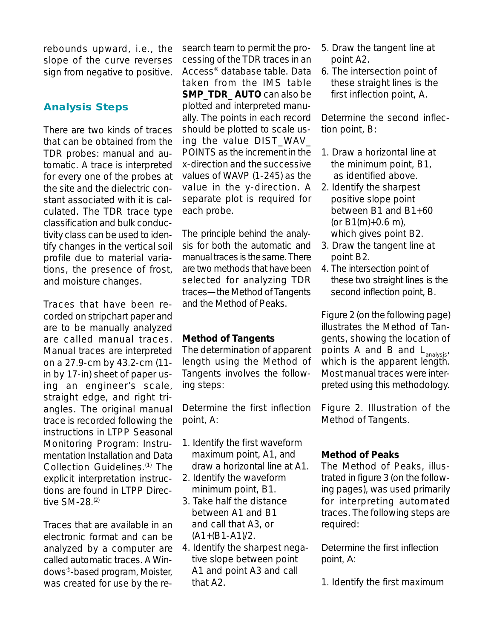rebounds upward, i.e., the slope of the curve reverses sign from negative to positive.

#### **Analysis Steps**

There are two kinds of traces that can be obtained from the TDR probes: manual and automatic. A trace is interpreted for every one of the probes at the site and the dielectric constant associated with it is calculated. The TDR trace type classification and bulk conductivity class can be used to identify changes in the vertical soil profile due to material variations, the presence of frost, and moisture changes.

Traces that have been recorded on stripchart paper and are to be manually analyzed are called manual traces. Manual traces are interpreted on a 27.9-cm by 43.2-cm (11 in by 17-in) sheet of paper using an engineer's scale, straight edge, and right triangles. The original manual trace is recorded following the instructions in *LTPP Seasonal Monitoring Program: Instrumentation Installation and Data Collection Guidelines*. (1) The explicit interpretation instructions are found in LTPP Directive SM-28.(2)

Traces that are available in an electronic format and can be analyzed by a computer are called automatic traces. A Windows®-based program, Moister, was created for use by the research team to permit the processing of the TDR traces in an Access® database table. Data taken from the IMS table **SMP\_TDR\_ AUTO** can also be plotted and interpreted manually. The points in each record should be plotted to scale using the value DIST\_WAV\_ POINTS as the increment in the x-direction and the successive values of WAVP (1-245) as the value in the y-direction. A separate plot is required for each probe.

The principle behind the analysis for both the automatic and manual traces is the same. There are two methods that have been selected for analyzing TDR traces—the Method of Tangents and the Method of Peaks.

#### *Method of Tangents*

The determination of apparent length using the Method of Tangents involves the following steps:

Determine the first inflection point, A:

- 1. Identify the first waveform maximum point, A1, and draw a horizontal line at A1.
- 2. Identify the waveform minimum point, B1.
- 3. Take half the distance between A1 and B1 and call that A3, or  $(A1+(B1-A1)/2)$ .
- 4. Identify the sharpest negative slope between point A1 and point A3 and call that A2.
- 5. Draw the tangent line at point A2.
- 6. The intersection point of these straight lines is the first inflection point, A.

Determine the second inflection point, B:

- 1. Draw a horizontal line at the minimum point, B1, as identified above.
- 2. Identify the sharpest positive slope point between B1 and B1+60 (or  $B1(m)+0.6$  m), which gives point B2.
- 3. Draw the tangent line at point B2.
- 4. The intersection point of these two straight lines is the second inflection point, B.

Figure 2 (on the following page) illustrates the Method of Tangents, showing the location of points A and B and  $L_{\text{analysis}}$ which is the apparent length. Most manual traces were interpreted using this methodology.

Figure 2. Illustration of the Method of Tangents.

#### *Method of Peaks*

The Method of Peaks, illustrated in figure 3 (on the following pages), was used primarily for interpreting automated traces. The following steps are required:

Determine the first inflection point, A:

1. Identify the first maximum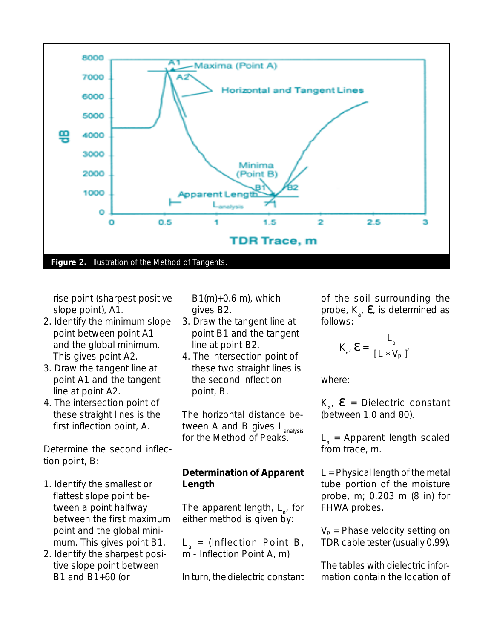

rise point (sharpest positive slope point), A1.

- 2. Identify the minimum slope point between point A1 and the global minimum. This gives point A2.
- 3. Draw the tangent line at point A1 and the tangent line at point A2.
- 4. The intersection point of these straight lines is the first inflection point, A.

Determine the second inflection point, B:

- 1. Identify the smallest or flattest slope point between a point halfway between the first maximum point and the global minimum. This gives point B1.
- 2. Identify the sharpest positive slope point between B1 and B1+60 (or

 $B1(m)+0.6$  m), which gives B2.

- 3. Draw the tangent line at point B1 and the tangent line at point B2.
- 4. The intersection point of these two straight lines is the second inflection point, B.

The horizontal distance between A and B gives  $L_{\text{analysis}}$ for the Method of Peaks.

#### *Determination of Apparent Length*

The apparent length, L<sub>a</sub>, for either method is given by:

 $L_{a}$  = (Inflection Point B, m - Inflection Point A, m)

In turn, the dielectric constant

of the soil surrounding the probe,  $K_{a}$ ,  $\boldsymbol{\epsilon}$ , is determined as follows:

$$
K_{a'} \mathbf{E} = \frac{L_a}{\left[L \cdot V_p\right]^2}
$$

where:

 $K_{a'}$   $\boldsymbol{\varepsilon}$  = Dielectric constant (between 1.0 and 80).

 $L<sub>a</sub>$  = Apparent length scaled from trace, m.

*L* = Physical length of the metal tube portion of the moisture probe, m; 0.203 m (8 in) for FHWA probes.

 $V_p$  = Phase velocity setting on TDR cable tester (usually 0.99).

The tables with dielectric information contain the location of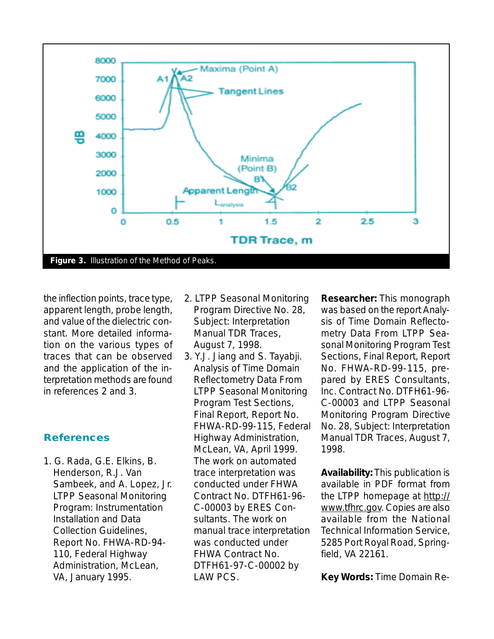

the inflection points, trace type, apparent length, probe length, and value of the dielectric constant. More detailed information on the various types of traces that can be observed and the application of the interpretation methods are found in references 2 and 3.

#### **References**

1. G. Rada, G.E. Elkins, B. Henderson, R.J. Van Sambeek, and A. Lopez, Jr. *LTPP Seasonal Monitoring Program: Instrumentation Installation and Data Collection Guidelines*, Report No. FHWA-RD-94- 110, Federal Highway Administration, McLean, VA, January 1995.

- 2. LTPP Seasonal Monitoring Program Directive No. 28, Subject: Interpretation Manual TDR Traces, August 7, 1998.
- 3. Y.J. Jiang and S. Tayabji. *Analysis of Time Domain Reflectometry Data From LTPP Seasonal Monitoring Program Test Sections, Final Report*, Report No. FHWA-RD-99-115, Federal Highway Administration, McLean, VA, April 1999. The work on automated trace interpretation was conducted under FHWA Contract No. DTFH61-96- C-00003 by ERES Consultants. The work on manual trace interpretation was conducted under FHWA Contract No. DTFH61-97-C-00002 by LAW PCS.

**Researcher:** This monograph was based on the report *Analysis of Time Domain Reflectometry Data From LTPP Seasonal Monitoring Program Test Sections, Final Report*, Report No. FHWA-RD-99-115, prepared by ERES Consultants, Inc. Contract No. DTFH61-96- C-00003 and LTPP Seasonal Monitoring Program Directive No. 28, Subject: Interpretation Manual TDR Traces, August 7, 1998.

**Availability:** This publication is available in PDF format from the LTPP homepage at http:// www.tfhrc.gov. Copies are also available from the National Technical Information Service, 5285 Port Royal Road, Springfield, VA 22161.

**Key Words:** Time Domain Re-